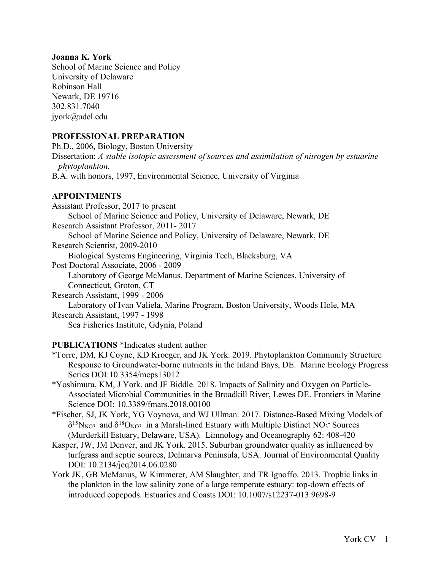#### **Joanna K. York**

School of Marine Science and Policy University of Delaware Robinson Hall Newark, DE 19716 302.831.7040 jyork@udel.edu

## **PROFESSIONAL PREPARATION**

Ph.D., 2006, Biology, Boston University Dissertation: *A stable isotopic assessment of sources and assimilation of nitrogen by estuarine phytoplankton.* B.A. with honors, 1997, Environmental Science, University of Virginia

## **APPOINTMENTS**

Assistant Professor, 2017 to present School of Marine Science and Policy, University of Delaware, Newark, DE Research Assistant Professor, 2011- 2017 School of Marine Science and Policy, University of Delaware, Newark, DE Research Scientist, 2009-2010 Biological Systems Engineering, Virginia Tech, Blacksburg, VA Post Doctoral Associate, 2006 - 2009 Laboratory of George McManus, Department of Marine Sciences, University of Connecticut, Groton, CT Research Assistant, 1999 - 2006 Laboratory of Ivan Valiela, Marine Program, Boston University, Woods Hole, MA Research Assistant, 1997 - 1998 Sea Fisheries Institute, Gdynia, Poland

## **PUBLICATIONS** \*Indicates student author

- \*Torre, DM, KJ Coyne, KD Kroeger, and JK York. 2019. Phytoplankton Community Structure Response to Groundwater-borne nutrients in the Inland Bays, DE. Marine Ecology Progress Series DOI:10.3354/meps13012
- \*Yoshimura, KM, J York, and JF Biddle. 2018. Impacts of Salinity and Oxygen on Particle-Associated Microbial Communities in the Broadkill River, Lewes DE. Frontiers in Marine Science DOI: 10.3389/fmars.2018.00100
- \*Fischer, SJ, JK York, YG Voynova, and WJ Ullman. 2017. Distance-Based Mixing Models of  $\delta^{15}N_{NQ3}$ - and  $\delta^{18}O_{NQ3}$ - in a Marsh-lined Estuary with Multiple Distinct NO<sub>3</sub> Sources (Murderkill Estuary, Delaware, USA). Limnology and Oceanography 62: 408-420
- Kasper, JW, JM Denver, and JK York. 2015. Suburban groundwater quality as influenced by turfgrass and septic sources, Delmarva Peninsula, USA. Journal of Environmental Quality DOI: 10.2134/jeq2014.06.0280
- York JK, GB McManus, W Kimmerer, AM Slaughter, and TR Ignoffo. 2013. Trophic links in the plankton in the low salinity zone of a large temperate estuary: top-down effects of introduced copepods. Estuaries and Coasts DOI: 10.1007/s12237-013 9698-9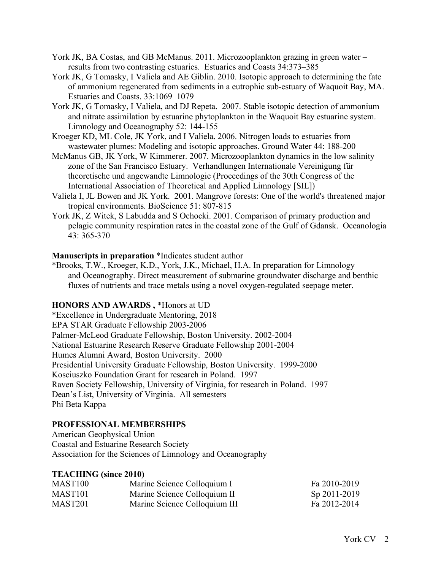- York JK, BA Costas, and GB McManus. 2011. Microzooplankton grazing in green water results from two contrasting estuaries. Estuaries and Coasts 34:373–385
- York JK, G Tomasky, I Valiela and AE Giblin. 2010. Isotopic approach to determining the fate of ammonium regenerated from sediments in a eutrophic sub-estuary of Waquoit Bay, MA. Estuaries and Coasts. 33:1069–1079
- York JK, G Tomasky, I Valiela, and DJ Repeta. 2007. Stable isotopic detection of ammonium and nitrate assimilation by estuarine phytoplankton in the Waquoit Bay estuarine system. Limnology and Oceanography 52: 144-155
- Kroeger KD, ML Cole, JK York, and I Valiela. 2006. Nitrogen loads to estuaries from wastewater plumes: Modeling and isotopic approaches. Ground Water 44: 188-200
- McManus GB, JK York, W Kimmerer. 2007. Microzooplankton dynamics in the low salinity zone of the San Francisco Estuary. Verhandlungen Internationale Vereinigung für theoretische und angewandte Limnologie (Proceedings of the 30th Congress of the International Association of Theoretical and Applied Limnology [SIL])
- Valiela I, JL Bowen and JK York. 2001. Mangrove forests: One of the world's threatened major tropical environments. BioScience 51: 807-815
- York JK, Z Witek, S Labudda and S Ochocki. 2001. Comparison of primary production and pelagic community respiration rates in the coastal zone of the Gulf of Gdansk. Oceanologia  $43 \cdot 365 - 370$

#### **Manuscripts in preparation** \*Indicates student author

\*Brooks, T.W., Kroeger, K.D., York, J.K., Michael, H.A. In preparation for Limnology and Oceanography. Direct measurement of submarine groundwater discharge and benthic fluxes of nutrients and trace metals using a novel oxygen-regulated seepage meter.

## **HONORS AND AWARDS ,** \*Honors at UD

\*Excellence in Undergraduate Mentoring, 2018 EPA STAR Graduate Fellowship 2003-2006 Palmer-McLeod Graduate Fellowship, Boston University. 2002-2004 National Estuarine Research Reserve Graduate Fellowship 2001-2004 Humes Alumni Award, Boston University. 2000 Presidential University Graduate Fellowship, Boston University. 1999-2000 Kosciuszko Foundation Grant for research in Poland. 1997 Raven Society Fellowship, University of Virginia, for research in Poland. 1997 Dean's List, University of Virginia. All semesters Phi Beta Kappa

## **PROFESSIONAL MEMBERSHIPS**

American Geophysical Union Coastal and Estuarine Research Society Association for the Sciences of Limnology and Oceanography

#### **TEACHING (since 2010)**

| MAST <sub>100</sub> | Marine Science Colloquium I   | Fa 2010-2019 |
|---------------------|-------------------------------|--------------|
| MAST <sub>101</sub> | Marine Science Colloquium II  | Sp 2011-2019 |
| MAST <sub>201</sub> | Marine Science Colloquium III | Fa 2012-2014 |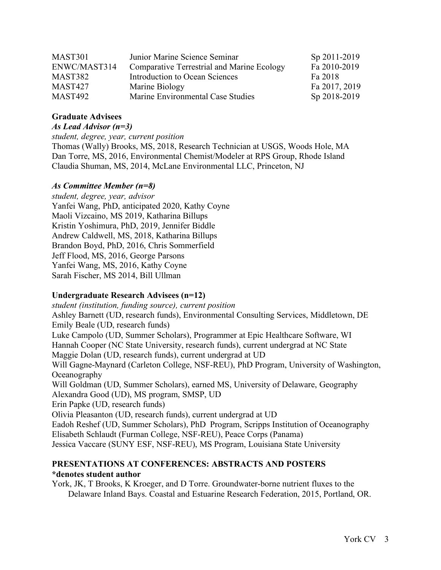| MAST301        | Junior Marine Science Seminar                     | Sp 2011-2019  |
|----------------|---------------------------------------------------|---------------|
| ENWC/MAST314   | <b>Comparative Terrestrial and Marine Ecology</b> | Fa 2010-2019  |
| MAST382        | Introduction to Ocean Sciences                    | Fa 2018       |
| <b>MAST427</b> | Marine Biology                                    | Fa 2017, 2019 |
| <b>MAST492</b> | Marine Environmental Case Studies                 | Sp 2018-2019  |

# **Graduate Advisees**

*As Lead Advisor (n=3)*

*student, degree, year, current position*

Thomas (Wally) Brooks, MS, 2018, Research Technician at USGS, Woods Hole, MA Dan Torre, MS, 2016, Environmental Chemist/Modeler at RPS Group, Rhode Island Claudia Shuman, MS, 2014, McLane Environmental LLC, Princeton, NJ

## *As Committee Member (n=8)*

*student, degree, year, advisor* Yanfei Wang, PhD, anticipated 2020, Kathy Coyne Maoli Vizcaino, MS 2019, Katharina Billups Kristin Yoshimura, PhD, 2019, Jennifer Biddle Andrew Caldwell, MS, 2018, Katharina Billups Brandon Boyd, PhD, 2016, Chris Sommerfield Jeff Flood, MS, 2016, George Parsons Yanfei Wang, MS, 2016, Kathy Coyne Sarah Fischer, MS 2014, Bill Ullman

## **Undergraduate Research Advisees (n=12)**

*student (institution, funding source), current position* Ashley Barnett (UD, research funds), Environmental Consulting Services, Middletown, DE Emily Beale (UD, research funds) Luke Campolo (UD, Summer Scholars), Programmer at Epic Healthcare Software, WI Hannah Cooper (NC State University, research funds), current undergrad at NC State Maggie Dolan (UD, research funds), current undergrad at UD Will Gagne-Maynard (Carleton College, NSF-REU), PhD Program, University of Washington, **Oceanography** Will Goldman (UD, Summer Scholars), earned MS, University of Delaware, Geography Alexandra Good (UD), MS program, SMSP, UD Erin Papke (UD, research funds) Olivia Pleasanton (UD, research funds), current undergrad at UD Eadoh Reshef (UD, Summer Scholars), PhD Program, Scripps Institution of Oceanography Elisabeth Schlaudt (Furman College, NSF-REU), Peace Corps (Panama) Jessica Vaccare (SUNY ESF, NSF-REU), MS Program, Louisiana State University

#### **PRESENTATIONS AT CONFERENCES: ABSTRACTS AND POSTERS \*denotes student author**

York, JK, T Brooks, K Kroeger, and D Torre. Groundwater-borne nutrient fluxes to the Delaware Inland Bays. Coastal and Estuarine Research Federation, 2015, Portland, OR.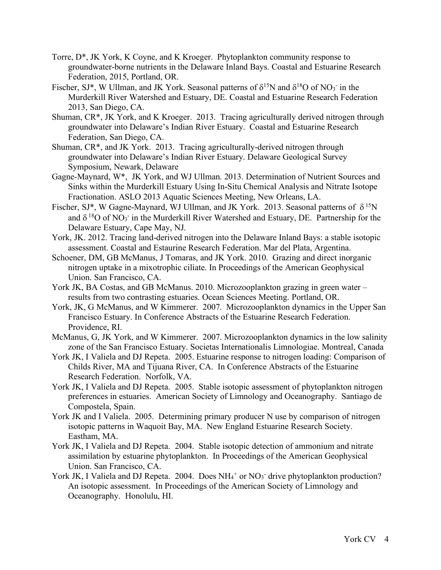- Torre, D\*, JK York, K Coyne, and K Kroeger. Phytoplankton community response to groundwater-borne nutrients in the Delaware Inland Bays. Coastal and Estuarine Research Federation, 2015, Portland, OR.
- Fischer, SJ\*, W Ullman, and JK York. Seasonal patterns of  $\delta^{15}N$  and  $\delta^{18}O$  of  $NO_3^-$  in the Murderkill River Watershed and Estuary, DE. Coastal and Estuarine Research Federation 2013, San Diego, CA.
- Shuman, CR\*, JK York, and K Kroeger. 2013. Tracing agriculturally derived nitrogen through groundwater into Delaware's Indian River Estuary. Coastal and Estuarine Research Federation, San Diego, CA.
- Shuman, CR\*, and JK York. 2013. Tracing agriculturally-derived nitrogen through groundwater into Delaware's Indian River Estuary. Delaware Geological Survey Symposium, Newark, Delaware
- Gagne-Maynard, W\*, JK York, and WJ Ullman. 2013. Determination of Nutrient Sources and Sinks within the Murderkill Estuary Using In-Situ Chemical Analysis and Nitrate Isotope Fractionation. ASLO 2013 Aquatic Sciences Meeting, New Orleans, LA.
- Fischer, SJ\*, W Gagne-Maynard, WJ Ullman, and JK York. 2013. Seasonal patterns of  $\delta^{15}N$ and  $\delta^{18}$ O of NO<sub>3</sub><sup>-</sup> in the Murderkill River Watershed and Estuary, DE. Partnership for the Delaware Estuary, Cape May, NJ.
- York, JK. 2012. Tracing land-derived nitrogen into the Delaware Inland Bays: a stable isotopic assessment. Coastal and Estaurine Research Federation. Mar del Plata, Argentina.
- Schoener, DM, GB McManus, J Tomaras, and JK York. 2010. Grazing and direct inorganic nitrogen uptake in a mixotrophic ciliate. In Proceedings of the American Geophysical Union. San Francisco, CA.
- York JK, BA Costas, and GB McManus. 2010. Microzooplankton grazing in green water results from two contrasting estuaries. Ocean Sciences Meeting. Portland, OR.
- York, JK, G McManus, and W Kimmerer. 2007. Microzooplankton dynamics in the Upper San Francisco Estuary. In Conference Abstracts of the Estuarine Research Federation. Providence, RI.
- McManus, G, JK York, and W Kimmerer. 2007. Microzooplankton dynamics in the low salinity zone of the San Francisco Estuary. Societas Internationalis Limnologiae. Montreal, Canada
- York JK, I Valiela and DJ Repeta. 2005. Estuarine response to nitrogen loading: Comparison of Childs River, MA and Tijuana River, CA. In Conference Abstracts of the Estuarine Research Federation. Norfolk, VA.
- York JK, I Valiela and DJ Repeta. 2005. Stable isotopic assessment of phytoplankton nitrogen preferences in estuaries. American Society of Limnology and Oceanography. Santiago de Compostela, Spain.
- York JK and I Valiela. 2005. Determining primary producer N use by comparison of nitrogen isotopic patterns in Waquoit Bay, MA. New England Estuarine Research Society. Eastham, MA.
- York JK, I Valiela and DJ Repeta. 2004. Stable isotopic detection of ammonium and nitrate assimilation by estuarine phytoplankton. In Proceedings of the American Geophysical Union. San Francisco, CA.
- York JK, I Valiela and DJ Repeta. 2004. Does  $NH_4^+$  or  $NO_3^-$  drive phytoplankton production? An isotopic assessment. In Proceedings of the American Society of Limnology and Oceanography. Honolulu, HI.